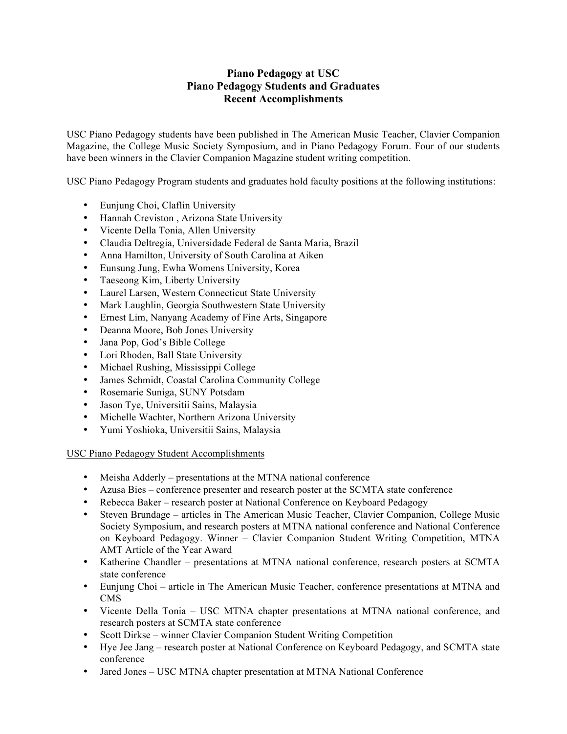## **Piano Pedagogy at USC Piano Pedagogy Students and Graduates Recent Accomplishments**

USC Piano Pedagogy students have been published in The American Music Teacher, Clavier Companion Magazine, the College Music Society Symposium, and in Piano Pedagogy Forum. Four of our students have been winners in the Clavier Companion Magazine student writing competition.

USC Piano Pedagogy Program students and graduates hold faculty positions at the following institutions:

- Eunjung Choi, Claflin University
- Hannah Creviston , Arizona State University
- Vicente Della Tonia, Allen University
- Claudia Deltregia, Universidade Federal de Santa Maria, Brazil
- Anna Hamilton, University of South Carolina at Aiken
- Eunsung Jung, Ewha Womens University, Korea
- Taeseong Kim, Liberty University
- Laurel Larsen, Western Connecticut State University
- Mark Laughlin, Georgia Southwestern State University
- Ernest Lim, Nanyang Academy of Fine Arts, Singapore
- Deanna Moore, Bob Jones University
- Jana Pop, God's Bible College
- Lori Rhoden, Ball State University
- Michael Rushing, Mississippi College
- James Schmidt, Coastal Carolina Community College
- Rosemarie Suniga, SUNY Potsdam
- Jason Tye, Universitii Sains, Malaysia
- Michelle Wachter, Northern Arizona University
- Yumi Yoshioka, Universitii Sains, Malaysia

USC Piano Pedagogy Student Accomplishments

- Meisha Adderly presentations at the MTNA national conference
- Azusa Bies conference presenter and research poster at the SCMTA state conference
- Rebecca Baker research poster at National Conference on Keyboard Pedagogy
- Steven Brundage articles in The American Music Teacher, Clavier Companion, College Music Society Symposium, and research posters at MTNA national conference and National Conference on Keyboard Pedagogy. Winner – Clavier Companion Student Writing Competition, MTNA AMT Article of the Year Award
- Katherine Chandler presentations at MTNA national conference, research posters at SCMTA state conference
- Eunjung Choi article in The American Music Teacher, conference presentations at MTNA and CMS
- Vicente Della Tonia USC MTNA chapter presentations at MTNA national conference, and research posters at SCMTA state conference
- Scott Dirkse winner Clavier Companion Student Writing Competition
- Hye Jee Jang research poster at National Conference on Keyboard Pedagogy, and SCMTA state conference
- Jared Jones USC MTNA chapter presentation at MTNA National Conference